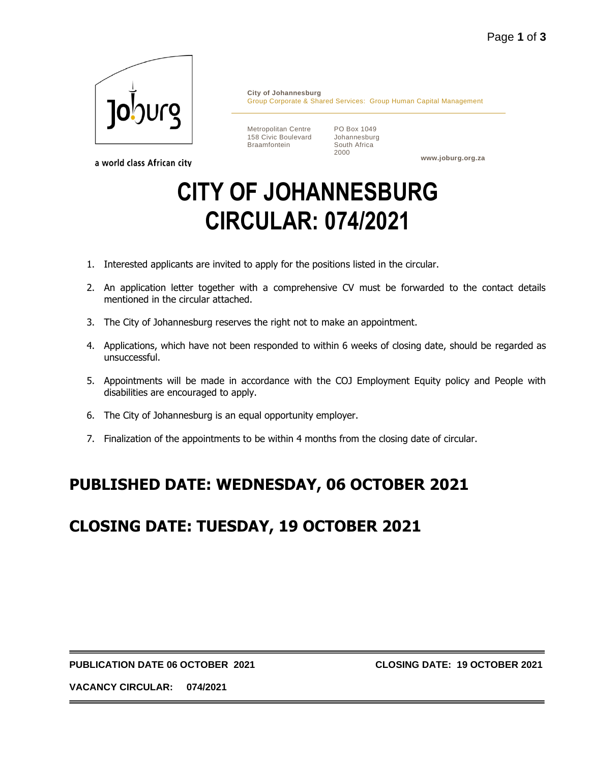

a world class African city

**City of Johannesburg** Group Corporate & Shared Services: Group Human Capital Management

Metropolitan Centre 158 Civic Boulevard Braamfontein

PO Box 1049 Johannesburg South Africa 2000

**www.joburg.org.za**

# **CITY OF JOHANNESBURG CIRCULAR: 074/2021**

- 1. Interested applicants are invited to apply for the positions listed in the circular.
- 2. An application letter together with a comprehensive CV must be forwarded to the contact details mentioned in the circular attached.
- 3. The City of Johannesburg reserves the right not to make an appointment.
- 4. Applications, which have not been responded to within 6 weeks of closing date, should be regarded as unsuccessful.
- 5. Appointments will be made in accordance with the COJ Employment Equity policy and People with disabilities are encouraged to apply.
- 6. The City of Johannesburg is an equal opportunity employer.
- 7. Finalization of the appointments to be within 4 months from the closing date of circular.

## **PUBLISHED DATE: WEDNESDAY, 06 OCTOBER 2021**

## **CLOSING DATE: TUESDAY, 19 OCTOBER 2021**

#### **PUBLICATION DATE 06 OCTOBER 2021 CLOSING DATE: 19 OCTOBER 2021**

**VACANCY CIRCULAR: 074/2021**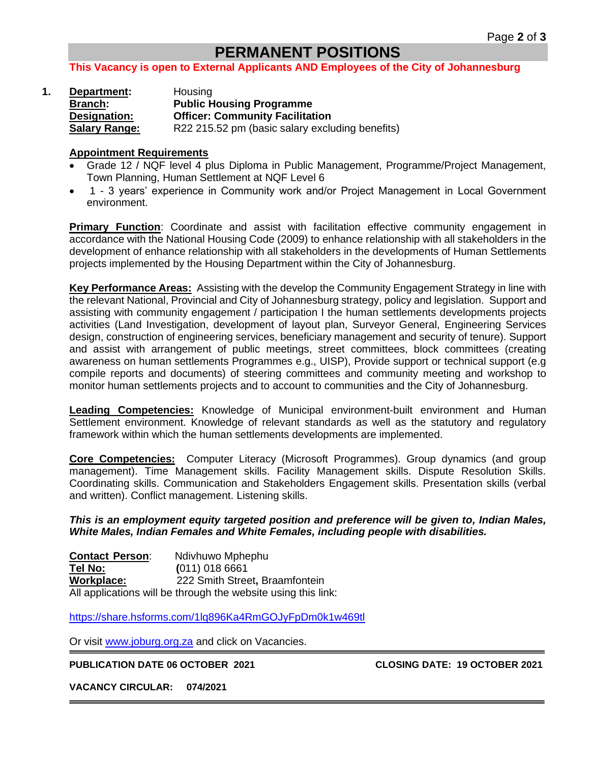## **PERMANENT POSITIONS**

#### **This Vacancy is open to External Applicants AND Employees of the City of Johannesburg**

|  | Department:          | Housing                                         |
|--|----------------------|-------------------------------------------------|
|  | Branch:              | <b>Public Housing Programme</b>                 |
|  | Designation:         | <b>Officer: Community Facilitation</b>          |
|  | <b>Salary Range:</b> | R22 215.52 pm (basic salary excluding benefits) |

#### **Appointment Requirements**

- Grade 12 / NQF level 4 plus Diploma in Public Management, Programme/Project Management, Town Planning, Human Settlement at NQF Level 6
- 1 3 years' experience in Community work and/or Project Management in Local Government environment.

**Primary Function:** Coordinate and assist with facilitation effective community engagement in accordance with the National Housing Code (2009) to enhance relationship with all stakeholders in the development of enhance relationship with all stakeholders in the developments of Human Settlements projects implemented by the Housing Department within the City of Johannesburg.

**Key Performance Areas:** Assisting with the develop the Community Engagement Strategy in line with the relevant National, Provincial and City of Johannesburg strategy, policy and legislation. Support and assisting with community engagement / participation I the human settlements developments projects activities (Land Investigation, development of layout plan, Surveyor General, Engineering Services design, construction of engineering services, beneficiary management and security of tenure). Support and assist with arrangement of public meetings, street committees, block committees (creating awareness on human settlements Programmes e.g., UISP), Provide support or technical support (e.g compile reports and documents) of steering committees and community meeting and workshop to monitor human settlements projects and to account to communities and the City of Johannesburg.

**Leading Competencies:** Knowledge of Municipal environment-built environment and Human Settlement environment. Knowledge of relevant standards as well as the statutory and regulatory framework within which the human settlements developments are implemented.

**Core Competencies:** Computer Literacy (Microsoft Programmes). Group dynamics (and group management). Time Management skills. Facility Management skills. Dispute Resolution Skills. Coordinating skills. Communication and Stakeholders Engagement skills. Presentation skills (verbal and written). Conflict management. Listening skills.

*This is an employment equity targeted position and preference will be given to, Indian Males, White Males, Indian Females and White Females, including people with disabilities.*

**Contact Person**: Ndivhuwo Mphephu **Tel No: (**011) 018 6661 **Workplace:** 222 Smith Street**,** Braamfontein All applications will be through the website using this link:

<https://share.hsforms.com/1lq896Ka4RmGOJyFpDm0k1w469tl>

Or visit [www.joburg.org.za](http://www.joburg.org.za/) and click on Vacancies.

**PUBLICATION DATE 06 OCTOBER 2021 CLOSING DATE: 19 OCTOBER 2021**

**VACANCY CIRCULAR: 074/2021**